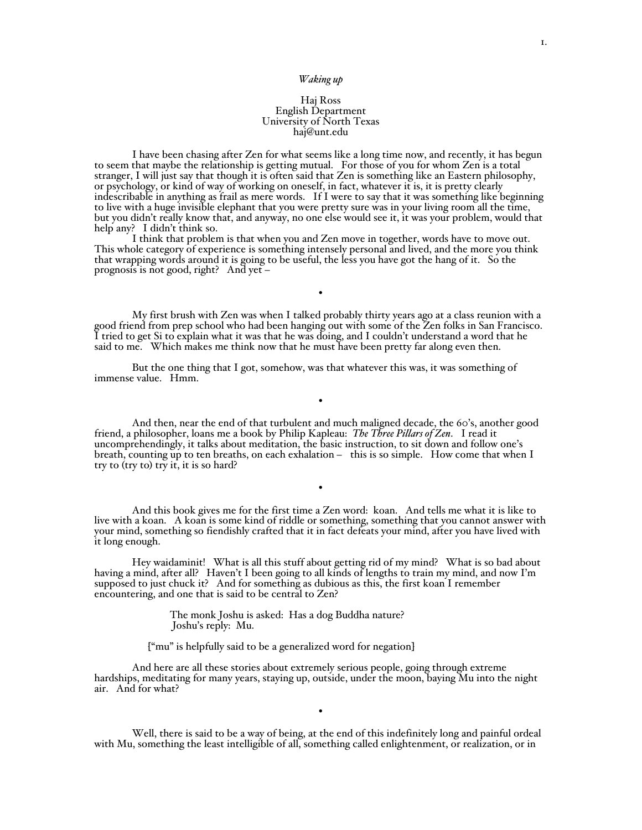## Haj Ross English Department University of North Texas haj@unt.edu

I have been chasing after Zen for what seems like a long time now, and recently, it has begun to seem that maybe the relationship is getting mutual. For those of you for whom Zen is a total stranger, I will just say that though it is often said that Zen is something like an Eastern philosophy, or psychology, or kind of way of working on oneself, in fact, whatever it is, it is pretty clearly indescribable in anything as frail as mere words. If I were to say that it was something like beginning to live with a huge invisible elephant that you were pretty sure was in your living room all the time, but you didn't really know that, and anyway, no one else would see it, it was your problem, would that help any? I didn't think so.

This whole category of experience is something intensely personal and lived, and the more you think that wrapping words around it is going to be useful, the less you have got the hang of it. So the prognosis is not good, right? And yet  $-$ 

My first brush with Zen was when I talked probably thirty years ago at a class reunion with a good friend from prep school who had been hanging out with some of the Zen folks in San Francisco. I tried to get Si to explain what it was that he was doing, and I couldn't understand a word that he said to me. Which makes me think now that he must have been pretty far along even then.

•

But the one thing that I got, somehow, was that whatever this was, it was something of immense value. Hmm.

And then, near the end of that turbulent and much maligned decade, the 60's, another good friend, a philosopher, loans me a book by Philip Kapleau: *The Three Pillars of Zen*. I read it uncomprehendingly, it talks about meditation, the basic instruction, to sit down and follow one's breath, counting up to ten breaths, on each exhalation  $-$  this is so simple. How come that when I try to  $(try to)$  try it, it is so hard?

•

And this book gives me for the first time a Zen word: koan. And tells me what it is like to live with a koan. A koan is some kind of riddle or something, something that you cannot answer with your mind, something so fiendishly crafted that it in fact defeats your mind, after you have lived with it long enough.

•

Hey waidaminit! What is all this stuff about getting rid of my mind? What is so bad about having a mind, after all? Haven't I been going to all kinds of lengths to train my mind, and now I'm supposed to just chuck it? And for something as dubious as this, the first koan I remember encountering, and one that is said to be central to Zen?

> The monk Joshu is asked: Has a dog Buddha nature? Joshu's reply: Mu.

["mu" is helpfully said to be a generalized word for negation]

And here are all these stories about extremely serious people, going through extreme hardships, meditating for many years, staying up, outside, under the moon, baying Mu into the night air. And for what?

Well, there is said to be a way of being, at the end of this indefinitely long and painful ordeal with Mu, something the least intelligible of all, something called enlightenment, or realization, or in

•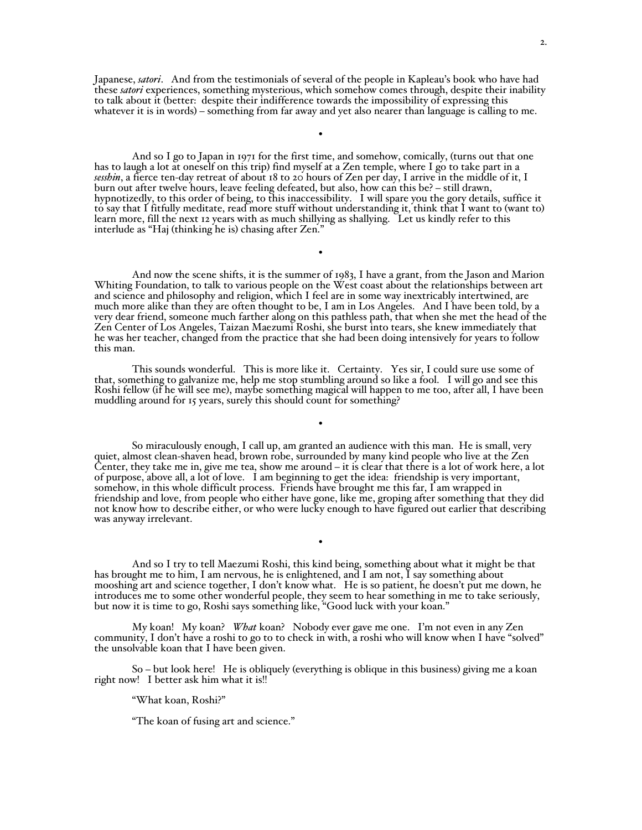Japanese, *satori*. And from the testimonials of several of the people in Kapleau's book who have had these *satori* experiences, something mysterious, which somehow comes through, despite their inability to talk about it (better: despite their indifference towards the impossibility of expressing this whatever it is in words) – something from far away and yet also nearer than language is calling to me.

•

And so I go to Japan in 1971 for the first time, and somehow, comically, (turns out that one has to laugh a lot at oneself on this trip) find myself at a Zen temple, where I go to take part in a *sesshin*, a fierce ten-day retreat of about 18 to 20 hours of Zen per day, I arrive in the middle of it, I burn out after twelve hours, leave feeling defeated, but also, how can this be? - still drawn, hypnotizedly, to this order of being, to this inaccessibility. I will spare you the gory details, suffice it to say that I fitfully meditate, read more stuff without understanding it, think that I want to (want to) learn more, fill the next 12 years with as much shillying as shallying. Let us kindly refer to this interlude as "Haj  $(thinking he is)$  chasing after Zen."

And now the scene shifts, it is the summer of 1983, I have a grant, from the Jason and Marion Whiting Foundation, to talk to various people on the West coast about the relationships between art and science and philosophy and religion, which I feel are in some way inextricably intertwined, are much more alike than they are often thought to be, I am in Los Angeles. And I have been told, by a very dear friend, someone much farther along on this pathless path, that when she met the head of the Zen Center of Los Angeles, Taizan Maezumi Roshi, she burst into tears, she knew immediately that he was her teacher, changed from the practice that she had been doing intensively for years to follow this man.

•

This sounds wonderful. This is more like it. Certainty. Yes sir, I could sure use some of that, something to galvanize me, help me stop stumbling around so like a fool. I will go and see this Roshi fellow (if he will see me), maybe something magical will happen to me too, after all, I have been muddling around for 15 years, surely this should count for something?

•

So miraculously enough, I call up, am granted an audience with this man. He is small, very quiet, almost clean-shaven head, brown robe, surrounded by many kind people who live at the Zen Center, they take me in, give me tea, show me around  $-$  it is clear that there is a lot of work here, a lot of purpose, above all, a lot of love. I am beginning to get the idea: friendship is very important, somehow, in this whole difficult process. Friends have brought me this far, I am wrapped in friendship and love, from people who either have gone, like me, groping after something that they did not know how to describe either, or who were lucky enough to have figured out earlier that describing was anyway irrelevant.

And so I try to tell Maezumi Roshi, this kind being, something about what it might be that has brought me to him, I am nervous, he is enlightened, and I am not, I say something about mooshing art and science together, I don't know what. He is so patient, he doesn't put me down, he introduces me to some other wonderful people, they seem to hear something in me to take seriously, but now it is time to go, Roshi says something like, "Good luck with your koan."

•

My koan! My koan? *What* koan? Nobody ever gave me one. I'm not even in any Zen community, I don't have a roshi to go to to check in with, a roshi who will know when I have "solved" the unsolvable koan that I have been given.

 $So - but look here!$  He is obliquely (everything is oblique in this business) giving me a koan right now! I better ask him what it is!!

"What koan, Roshi?"

"The koan of fusing art and science."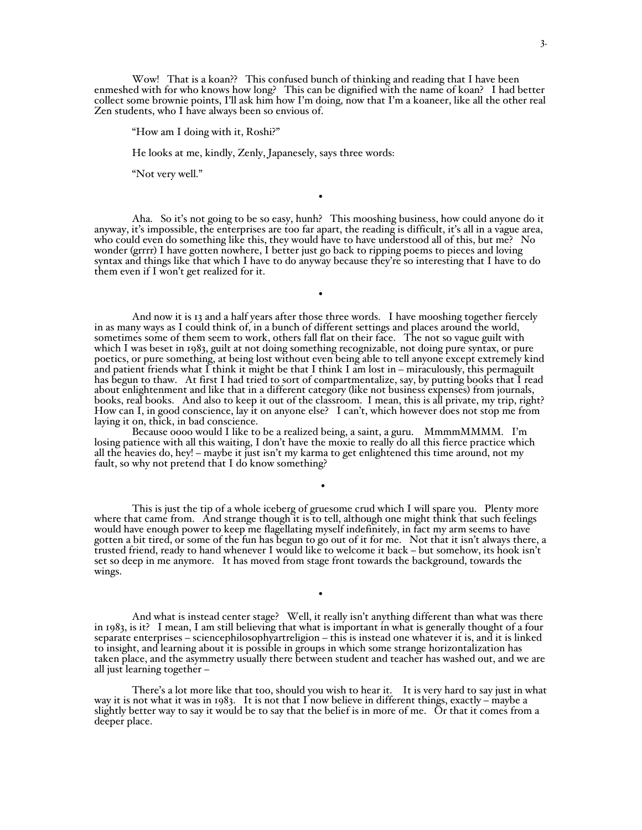Wow! That is a koan?? This confused bunch of thinking and reading that I have been enmeshed with for who knows how long? This can be dignified with the name of koan? I had better collect some brownie points, I'll ask him how I'm doing, now that I'm a koaneer, like all the other real Zen students, who I have always been so envious of.

"How am I doing with it, Roshi?"

He looks at me, kindly, Zenly, Japanesely, says three words:

"Not very well."

Aha. So it's not going to be so easy, hunh? This mooshing business, how could anyone do it anyway, it's impossible, the enterprises are too far apart, the reading is difficult, it's all in a vague area, who could even do something like this, they would have to have understood all of this, but me? No wonder (grrrr) I have gotten nowhere, I better just go back to ripping poems to pieces and loving syntax and things like that which I have to do anyway because they're so interesting that I have to do them even if I won't get realized for it.

•

•

And now it is 13 and a half years after those three words. I have mooshing together fiercely in as many ways as I could think of, in a bunch of different settings and places around the world, sometimes some of them seem to work, others fall flat on their face. The not so vague guilt with which I was beset in 1983, guilt at not doing something recognizable, not doing pure syntax, or pure poetics, or pure something, at being lost without even being able to tell anyone except extremely kind and patient friends what I think it might be that I think I am lost in  $-$  miraculously, this permaguilt has begun to thaw. At first I had tried to sort of compartmentalize, say, by putting books that I read about enlightenment and like that in a different category (like not business expenses) from journals, books, real books. And also to keep it out of the classroom. I mean, this is all private, my trip, right? How can I, in good conscience, lay it on anyone else? I can't, which however does not stop me from laying it on, thick, in bad conscience.

Because oooo would I like to be a realized being, a saint, a guru. MmmmMMMM. I'm losing patience with all this waiting, I don't have the moxie to really do all this fierce practice which all the heavies do, hey! - maybe it just isn't my karma to get enlightened this time around, not my fault, so why not pretend that I do know something?

This is just the tip of a whole iceberg of gruesome crud which I will spare you. Plenty more where that came from. And strange though it is to tell, although one might think that such feelings would have enough power to keep me flagellating myself indefinitely, in fact my arm seems to have gotten a bit tired, or some of the fun has begun to go out of it for me. Not that it isn't always there, a trusted friend, ready to hand whenever I would like to welcome it back – but somehow, its hook isn't set so deep in me anymore. It has moved from stage front towards the background, towards the wings.

•

And what is instead center stage? Well, it really isn't anything different than what was there in 1983, is it? I mean, I am still believing that what is important in what is generally thought of a four separate enterprises - sciencephilosophyartreligion - this is instead one whatever it is, and it is linked to insight, and learning about it is possible in groups in which some strange horizontalization has taken place, and the asymmetry usually there between student and teacher has washed out, and we are all just learning together  $-$ 

•

There's a lot more like that too, should you wish to hear it. It is very hard to say just in what way it is not what it was in 1983. It is not that I now believe in different things, exactly – maybe a slightly better way to say it would be to say that the belief is in more of me. Or that it comes from a deeper place.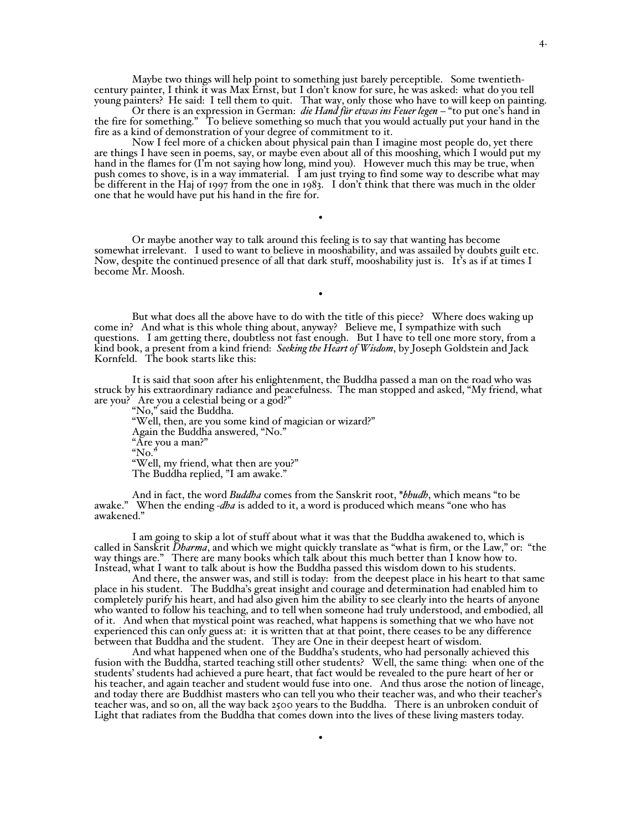Maybe two things will help point to something just barely perceptible. Some twentiethcentury painter, I think it was Max Ernst, but I don't know for sure, he was asked: what do you tell young painters? He said: I tell them to quit. That way, only those who have to will keep on painting.

Or there is an expression in German: *die Hand für etwas ins Feuer legen* - "to put one's hand in the fire for something." To believe something so much that you would actually put your hand in the fire as a kind of demonstration of your degree of commitment to it.

Now I feel more of a chicken about physical pain than I imagine most people do, yet there are things I have seen in poems, say, or maybe even about all of this mooshing, which I would put my hand in the flames for  $(I<sup>r</sup>m$  not saying how long, mind you). However much this may be true, when push comes to shove, is in a way immaterial. I am just trying to find some way to describe what may be different in the Haj of 1997 from the one in 1983. I don't think that there was much in the older one that he would have put his hand in the fire for.

Or maybe another way to talk around this feeling is to say that wanting has become somewhat irrelevant. I used to want to believe in mooshability, and was assailed by doubts guilt etc. Now, despite the continued presence of all that dark stuff, mooshability just is. It's as if at times I become Mr. Moosh.

•

•

But what does all the above have to do with the title of this piece? Where does waking up come in? And what is this whole thing about, anyway? Believe me, I sympathize with such questions. I am getting there, doubtless not fast enough. But I have to tell one more story, from a kind book, a present from a kind friend: *Seeking the Heart of Wisdom*, by Joseph Goldstein and Jack Kornfeld. The book starts like this:

It is said that soon after his enlightenment, the Buddha passed a man on the road who was struck by his extraordinary radiance and peacefulness. The man stopped and asked, "My friend, what are you? Are you a celestial being or a god?"

"No," said the Buddha. "Well, then, are you some kind of magician or wizard?" Again the Buddha answered, "No." "Are you a man?" " $No.^{\frac{1}{2}}$ "Well, my friend, what then are you?" The Buddha replied, "I am awake."

And in fact, the word *Buddha* comes from the Sanskrit root, \**bhudh*, which means "to be awake." When the ending -*dha* is added to it, a word is produced which means "one who has awakened."

I am going to skip a lot of stuff about what it was that the Buddha awakened to, which is called in Sanskrit *Dharma*, and which we might quickly translate as "what is firm, or the Law," or: "the way things are." There are many books which talk about this much better than I know how to. Instead, what I want to talk about is how the Buddha passed this wisdom down to his students.

And there, the answer was, and still is today: from the deepest place in his heart to that same place in his student. The Buddha's great insight and courage and determination had enabled him to completely purify his heart, and had also given him the ability to see clearly into the hearts of anyone who wanted to follow his teaching, and to tell when someone had truly understood, and embodied, all of it. And when that mystical point was reached, what happens is something that we who have not experienced this can only guess at: it is written that at that point, there ceases to be any difference between that Buddha and the student. They are One in their deepest heart of wisdom.

And what happened when one of the Buddha's students, who had personally achieved this fusion with the Buddha, started teaching still other students? Well, the same thing: when one of the students' students had achieved a pure heart, that fact would be revealed to the pure heart of her or his teacher, and again teacher and student would fuse into one. And thus arose the notion of lineage, and today there are Buddhist masters who can tell you who their teacher was, and who their teacher's teacher was, and so on, all the way back 2500 years to the Buddha. There is an unbroken conduit of Light that radiates from the Buddha that comes down into the lives of these living masters today.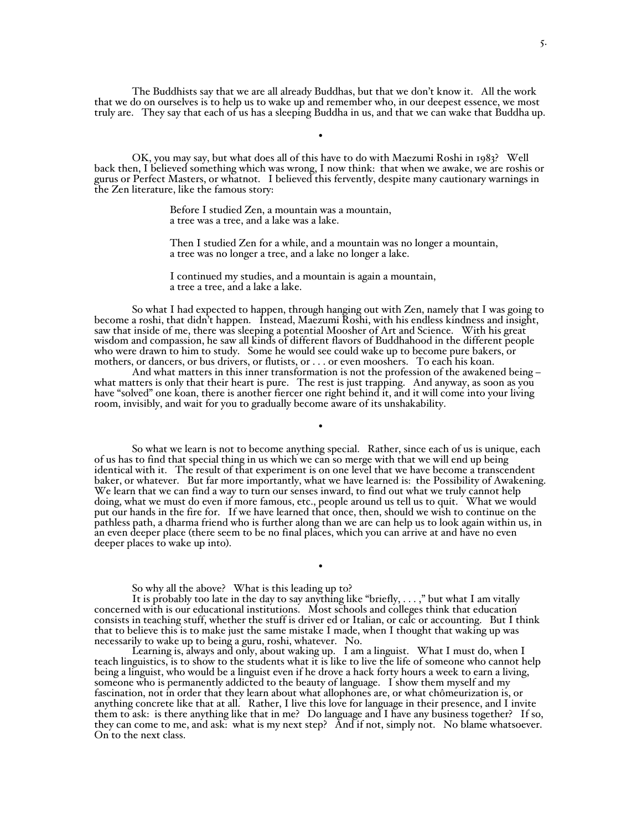The Buddhists say that we are all already Buddhas, but that we don't know it. All the work that we do on ourselves is to help us to wake up and remember who, in our deepest essence, we most truly are. They say that each of us has a sleeping Buddha in us, and that we can wake that Buddha up.

•

OK, you may say, but what does all of this have to do with Maezumi Roshi in 1983? Well back then, I believed something which was wrong, I now think: that when we awake, we are roshis or gurus or Perfect Masters, or whatnot. I believed this fervently, despite many cautionary warnings in the Zen literature, like the famous story:

> Before I studied Zen, a mountain was a mountain, a tree was a tree, and a lake was a lake.

Then I studied Zen for a while, and a mountain was no longer a mountain, a tree was no longer a tree, and a lake no longer a lake.

I continued my studies, and a mountain is again a mountain, a tree a tree, and a lake a lake.

So what I had expected to happen, through hanging out with Zen, namely that I was going to become a roshi, that didn't happen. Instead, Maezumi Roshi, with his endless kindness and insight, saw that inside of me, there was sleeping a potential Moosher of Art and Science. With his great wisdom and compassion, he saw all kinds of different flavors of Buddhahood in the different people who were drawn to him to study. Some he would see could wake up to become pure bakers, or mothers, or dancers, or bus drivers, or flutists, or . . . or even mooshers. To each his koan.

And what matters in this inner transformation is not the profession of the awakened being  $$ what matters is only that their heart is pure. The rest is just trapping. And anyway, as soon as you have "solved" one koan, there is another fiercer one right behind it, and it will come into your living room, invisibly, and wait for you to gradually become aware of its unshakability.

•

So what we learn is not to become anything special. Rather, since each of us is unique, each of us has to find that special thing in us which we can so merge with that we will end up being identical with it. The result of that experiment is on one level that we have become a transcendent baker, or whatever. But far more importantly, what we have learned is: the Possibility of Awakening. We learn that we can find a way to turn our senses inward, to find out what we truly cannot help doing, what we must do even if more famous, etc., people around us tell us to quit. What we would put our hands in the fire for. If we have learned that once, then, should we wish to continue on the pathless path, a dharma friend who is further along than we are can help us to look again within us, in an even deeper place (there seem to be no final places, which you can arrive at and have no even deeper places to wake up into).

So why all the above? What is this leading up to?

It is probably too late in the day to say anything like "briefly,  $\dots$ ," but what I am vitally concerned with is our educational institutions. Most schools and colleges think that education consists in teaching stuff, whether the stuff is driver ed or Italian, or calc or accounting. But I think that to believe this is to make just the same mistake I made, when I thought that waking up was

•

necessarily to wake up to being a guru, roshi, whatever. No.<br>Learning is, always and only, about waking up. I am a linguist. What I must do, when I teach linguistics, is to show to the students what it is like to live the life of someone who cannot help being a linguist, who would be a linguist even if he drove a hack forty hours a week to earn a living, someone who is permanently addicted to the beauty of language. I show them myself and my fascination, not in order that they learn about what allophones are, or what chômeurization is, or anything concrete like that at all. Rather, I live this love for language in their presence, and I invite them to ask: is there anything like that in me? Do language and I have any business together? If so, they can come to me, and ask: what is my next step? And if not, simply not. No blame whatsoever. On to the next class.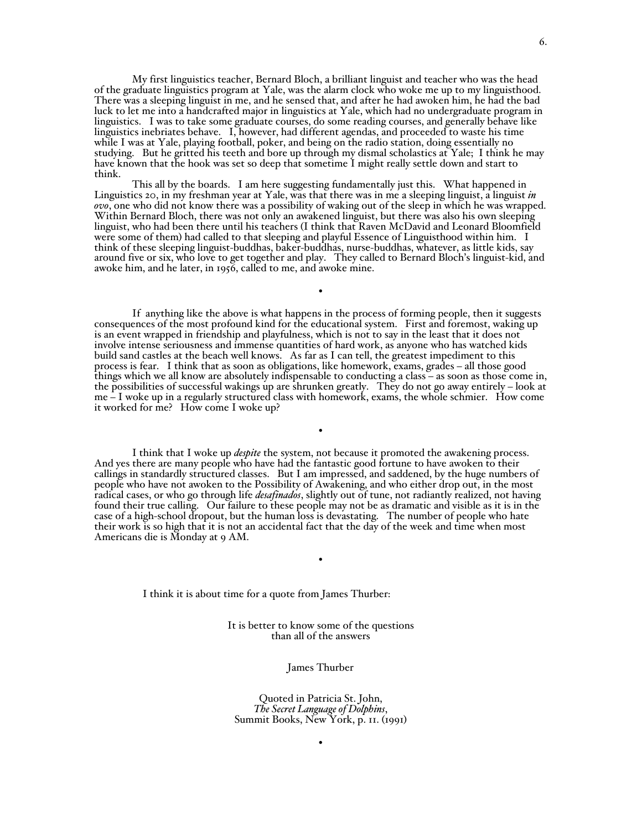My first linguistics teacher, Bernard Bloch, a brilliant linguist and teacher who was the head of the graduate linguistics program at Yale, was the alarm clock who woke me up to my linguisthood. There was a sleeping linguist in me, and he sensed that, and after he had awoken him, he had the bad luck to let me into a handcrafted major in linguistics at Yale, which had no undergraduate program in linguistics. I was to take some graduate courses, do some reading courses, and generally behave like linguistics inebriates behave. I, however, had different agendas, and proceeded to waste his time while I was at Yale, playing football, poker, and being on the radio station, doing essentially no studying. But he gritted his teeth and bore up through my dismal scholastics at Yale; I think he may have known that the hook was set so deep that sometime I might really settle down and start to think.

This all by the boards. I am here suggesting fundamentally just this. What happened in Linguistics 20, in my freshman year at Yale, was that there was in me a sleeping linguist, a linguist *in ovo*, one who did not know there was a possibility of waking out of the sleep in which he was wrapped. Within Bernard Bloch, there was not only an awakened linguist, but there was also his own sleeping linguist, who had been there until his teachers (I think that Raven McDavid and Leonard Bloomfield were some of them) had called to that sleeping and playful Essence of Linguisthood within him. I think of these sleeping linguist-buddhas, baker-buddhas, nurse-buddhas, whatever, as little kids, say around five or six, who love to get together and play. They called to Bernard Bloch's linguist-kid, and awoke him, and he later, in 1956, called to me, and awoke mine.

•

If anything like the above is what happens in the process of forming people, then it suggests consequences of the most profound kind for the educational system. First and foremost, waking up is an event wrapped in friendship and playfulness, which is not to say in the least that it does not involve intense seriousness and immense quantities of hard work, as anyone who has watched kids build sand castles at the beach well knows. As far as I can tell, the greatest impediment to this process is fear. I think that as soon as obligations, like homework, exams, grades - all those good things which we all know are absolutely indispensable to conducting a class - as soon as those come in, the possibilities of successful wakings up are shrunken greatly. They do not go away entirely - look at me - I woke up in a regularly structured class with homework, exams, the whole schmier. How come it worked for me? How come I woke up?

•

I think that I woke up *despite* the system, not because it promoted the awakening process. And yes there are many people who have had the fantastic good fortune to have awoken to their callings in standardly structured classes. But I am impressed, and saddened, by the huge numbers of people who have not awoken to the Possibility of Awakening, and who either drop out, in the most<br>radical cases, or who go through life *desafinados*, slightly out of tune, not radiantly realized, not having found their true calling. Our failure to these people may not be as dramatic and visible as it is in the case of a high-school dropout, but the human loss is devastating. The number of people who hate their work is so high that it is not an accidental fact that the day of the week and time when most Americans die is Monday at 9 AM.

I think it is about time for a quote from James Thurber:

It is better to know some of the questions than all of the answers

•

## James Thurber

Quoted in Patricia St. John, *The Secret Language of Dolphins*, Summit Books, New York, p. II. (1991)

•